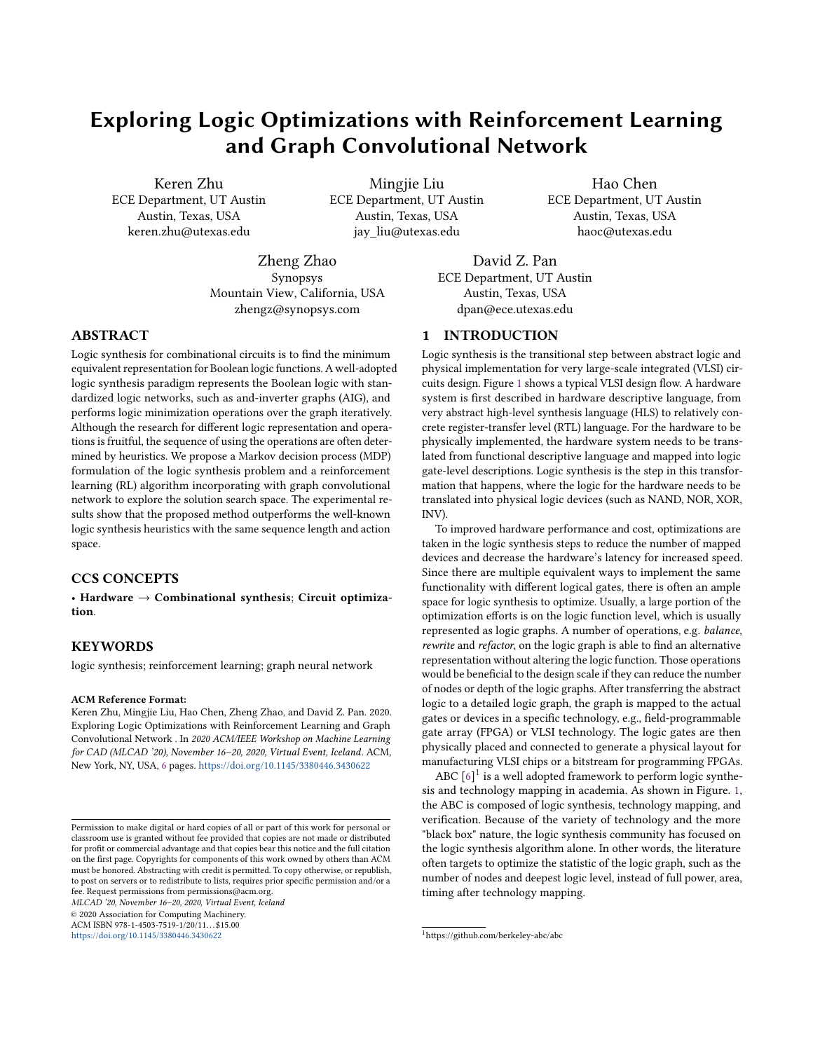# Exploring Logic Optimizations with Reinforcement Learning and Graph Convolutional Network

Keren Zhu ECE Department, UT Austin Austin, Texas, USA keren.zhu@utexas.edu

Mingjie Liu ECE Department, UT Austin Austin, Texas, USA jay\_liu@utexas.edu

Hao Chen ECE Department, UT Austin Austin, Texas, USA haoc@utexas.edu

Zheng Zhao Synopsys Mountain View, California, USA zhengz@synopsys.com

David Z. Pan ECE Department, UT Austin Austin, Texas, USA dpan@ece.utexas.edu

# ABSTRACT

Logic synthesis for combinational circuits is to find the minimum equivalent representation for Boolean logic functions. A well-adopted logic synthesis paradigm represents the Boolean logic with standardized logic networks, such as and-inverter graphs (AIG), and performs logic minimization operations over the graph iteratively. Although the research for different logic representation and operations is fruitful, the sequence of using the operations are often determined by heuristics. We propose a Markov decision process (MDP) formulation of the logic synthesis problem and a reinforcement learning (RL) algorithm incorporating with graph convolutional network to explore the solution search space. The experimental results show that the proposed method outperforms the well-known logic synthesis heuristics with the same sequence length and action space.

# CCS CONCEPTS

• Hardware  $\rightarrow$  Combinational synthesis; Circuit optimization.

#### KEYWORDS

logic synthesis; reinforcement learning; graph neural network

#### ACM Reference Format:

Keren Zhu, Mingjie Liu, Hao Chen, Zheng Zhao, and David Z. Pan. 2020. Exploring Logic Optimizations with Reinforcement Learning and Graph Convolutional Network . In 2020 ACM/IEEE Workshop on Machine Learning for CAD (MLCAD '20), November 16–20, 2020, Virtual Event, Iceland. ACM, New York, NY, USA, [6](#page-5-0) pages. <https://doi.org/10.1145/3380446.3430622>

MLCAD '20, November 16–20, 2020, Virtual Event, Iceland

© 2020 Association for Computing Machinery.

ACM ISBN 978-1-4503-7519-1/20/11...\$15.00

<https://doi.org/10.1145/3380446.3430622>

# 1 INTRODUCTION

Logic synthesis is the transitional step between abstract logic and physical implementation for very large-scale integrated (VLSI) circuits design. Figure [1](#page-1-0) shows a typical VLSI design flow. A hardware system is first described in hardware descriptive language, from very abstract high-level synthesis language (HLS) to relatively concrete register-transfer level (RTL) language. For the hardware to be physically implemented, the hardware system needs to be translated from functional descriptive language and mapped into logic gate-level descriptions. Logic synthesis is the step in this transformation that happens, where the logic for the hardware needs to be translated into physical logic devices (such as NAND, NOR, XOR, INV).

To improved hardware performance and cost, optimizations are taken in the logic synthesis steps to reduce the number of mapped devices and decrease the hardware's latency for increased speed. Since there are multiple equivalent ways to implement the same functionality with different logical gates, there is often an ample space for logic synthesis to optimize. Usually, a large portion of the optimization efforts is on the logic function level, which is usually represented as logic graphs. A number of operations, e.g. balance, rewrite and refactor, on the logic graph is able to find an alternative representation without altering the logic function. Those operations would be beneficial to the design scale if they can reduce the number of nodes or depth of the logic graphs. After transferring the abstract logic to a detailed logic graph, the graph is mapped to the actual gates or devices in a specific technology, e.g., field-programmable gate array (FPGA) or VLSI technology. The logic gates are then physically placed and connected to generate a physical layout for manufacturing VLSI chips or a bitstream for programming FPGAs.

ABC  $[6]$ <sup>[1](#page-0-0)</sup> is a well adopted framework to perform logic synthesis and technology mapping in academia. As shown in Figure. [1,](#page-1-0) the ABC is composed of logic synthesis, technology mapping, and verification. Because of the variety of technology and the more "black box" nature, the logic synthesis community has focused on the logic synthesis algorithm alone. In other words, the literature often targets to optimize the statistic of the logic graph, such as the number of nodes and deepest logic level, instead of full power, area, timing after technology mapping.

Permission to make digital or hard copies of all or part of this work for personal or classroom use is granted without fee provided that copies are not made or distributed for profit or commercial advantage and that copies bear this notice and the full citation on the first page. Copyrights for components of this work owned by others than ACM must be honored. Abstracting with credit is permitted. To copy otherwise, or republish, to post on servers or to redistribute to lists, requires prior specific permission and/or a fee. Request permissions from permissions@acm.org.

<span id="page-0-0"></span><sup>1</sup>https://github.com/berkeley-abc/abc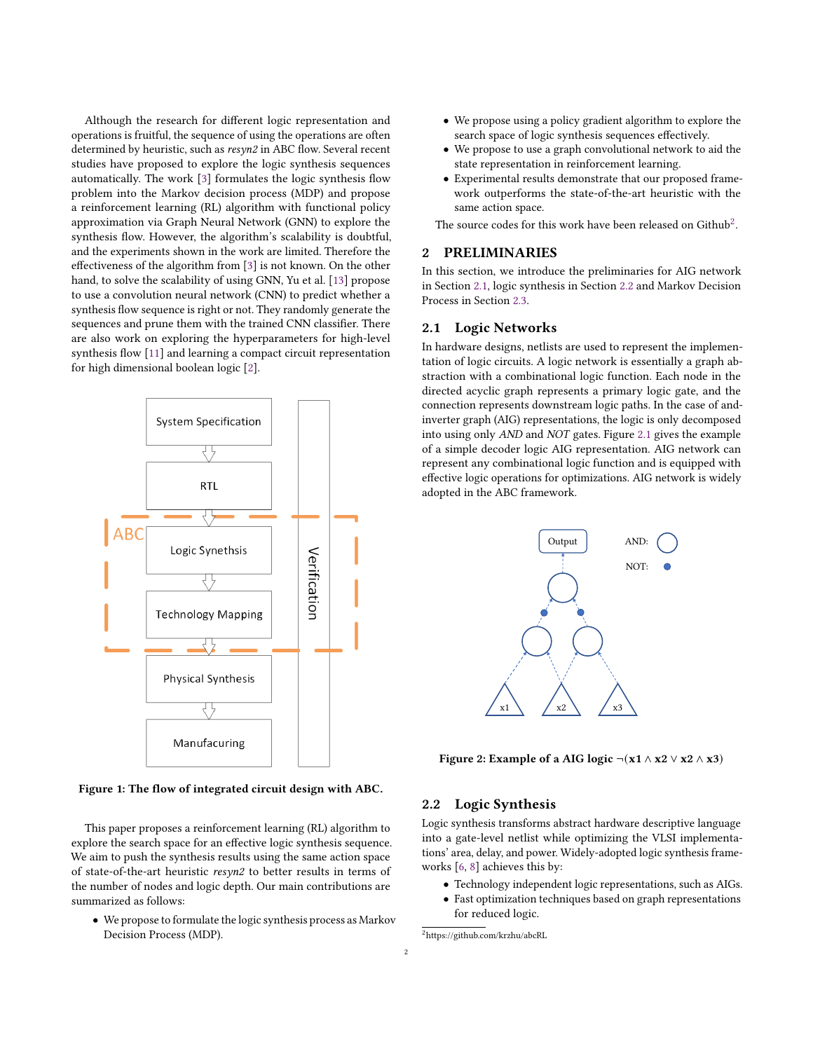Although the research for different logic representation and operations is fruitful, the sequence of using the operations are often determined by heuristic, such as resyn2 in ABC flow. Several recent studies have proposed to explore the logic synthesis sequences automatically. The work [\[3\]](#page-5-2) formulates the logic synthesis flow problem into the Markov decision process (MDP) and propose a reinforcement learning (RL) algorithm with functional policy approximation via Graph Neural Network (GNN) to explore the synthesis flow. However, the algorithm's scalability is doubtful, and the experiments shown in the work are limited. Therefore the effectiveness of the algorithm from [\[3\]](#page-5-2) is not known. On the other hand, to solve the scalability of using GNN, Yu et al. [\[13\]](#page-5-3) propose to use a convolution neural network (CNN) to predict whether a synthesis flow sequence is right or not. They randomly generate the sequences and prune them with the trained CNN classifier. There are also work on exploring the hyperparameters for high-level synthesis flow [\[11\]](#page-5-4) and learning a compact circuit representation for high dimensional boolean logic [\[2\]](#page-5-5).

<span id="page-1-0"></span>

Figure 1: The flow of integrated circuit design with ABC.

This paper proposes a reinforcement learning (RL) algorithm to explore the search space for an effective logic synthesis sequence. We aim to push the synthesis results using the same action space of state-of-the-art heuristic resyn2 to better results in terms of the number of nodes and logic depth. Our main contributions are summarized as follows:

• We propose to formulate the logic synthesis process as Markov Decision Process (MDP).

- We propose using a policy gradient algorithm to explore the search space of logic synthesis sequences effectively.
- We propose to use a graph convolutional network to aid the state representation in reinforcement learning.
- Experimental results demonstrate that our proposed framework outperforms the state-of-the-art heuristic with the same action space.

The source codes for this work have been released on Github $^2$  $^2$ .

# <span id="page-1-4"></span>**PRELIMINARIES**

In this section, we introduce the preliminaries for AIG network in Section [2.1,](#page-1-2) logic synthesis in Section [2.2](#page-1-3) and Markov Decision Process in Section [2.3.](#page-2-0)

#### <span id="page-1-2"></span>2.1 Logic Networks

In hardware designs, netlists are used to represent the implementation of logic circuits. A logic network is essentially a graph abstraction with a combinational logic function. Each node in the directed acyclic graph represents a primary logic gate, and the connection represents downstream logic paths. In the case of andinverter graph (AIG) representations, the logic is only decomposed into using only AND and NOT gates. Figure [2.1](#page-1-2) gives the example of a simple decoder logic AIG representation. AIG network can represent any combinational logic function and is equipped with effective logic operations for optimizations. AIG network is widely adopted in the ABC framework.



Figure 2: Example of a AIG logic  $\neg$ (x1 ∧ x2  $\lor$  x2 ∧ x3)

#### <span id="page-1-3"></span>2.2 Logic Synthesis

Logic synthesis transforms abstract hardware descriptive language into a gate-level netlist while optimizing the VLSI implementations' area, delay, and power. Widely-adopted logic synthesis frameworks [\[6,](#page-5-1) [8\]](#page-5-6) achieves this by:

- Technology independent logic representations, such as AIGs.
- Fast optimization techniques based on graph representations for reduced logic.

<span id="page-1-1"></span><sup>2</sup>https://github.com/krzhu/abcRL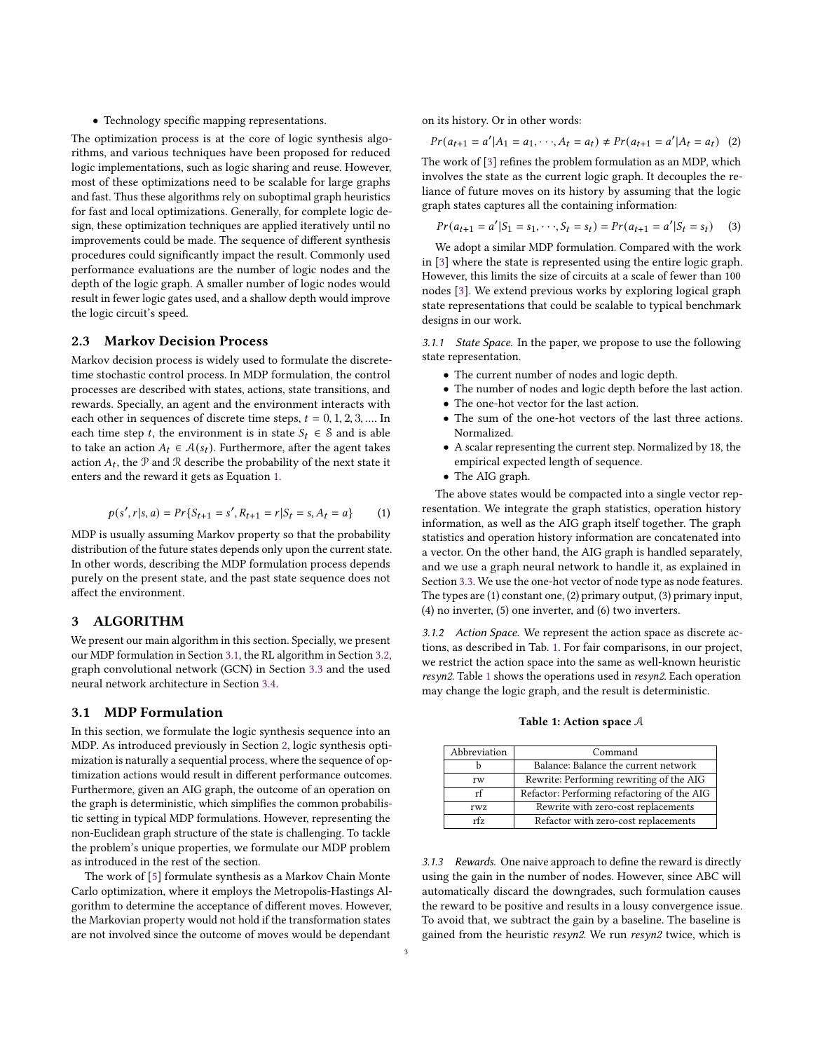• Technology specific mapping representations.

The optimization process is at the core of logic synthesis algorithms, and various techniques have been proposed for reduced logic implementations, such as logic sharing and reuse. However, most of these optimizations need to be scalable for large graphs and fast. Thus these algorithms rely on suboptimal graph heuristics for fast and local optimizations. Generally, for complete logic design, these optimization techniques are applied iteratively until no improvements could be made. The sequence of different synthesis procedures could significantly impact the result. Commonly used performance evaluations are the number of logic nodes and the depth of the logic graph. A smaller number of logic nodes would result in fewer logic gates used, and a shallow depth would improve the logic circuit's speed.

#### <span id="page-2-0"></span>2.3 Markov Decision Process

Markov decision process is widely used to formulate the discretetime stochastic control process. In MDP formulation, the control processes are described with states, actions, state transitions, and rewards. Specially, an agent and the environment interacts with each other in sequences of discrete time steps,  $t = 0, 1, 2, 3, \dots$  In each time step t, the environment is in state  $S_t \in \mathcal{S}$  and is able to take an action  $A_t \in \mathcal{A}(s_t)$ . Furthermore, after the agent takes action  $A_t$ , the  $P$  and  $R$  describe the probability of the next state it enters and the reward it gets as Equation [1.](#page-2-1)

<span id="page-2-1"></span>
$$
p(s', r|s, a) = Pr\{S_{t+1} = s', R_{t+1} = r|S_t = s, A_t = a\}
$$
 (1)

MDP is usually assuming Markov property so that the probability distribution of the future states depends only upon the current state. In other words, describing the MDP formulation process depends purely on the present state, and the past state sequence does not affect the environment.

# 3 ALGORITHM

We present our main algorithm in this section. Specially, we present our MDP formulation in Section [3.1,](#page-2-2) the RL algorithm in Section [3.2,](#page-3-0) graph convolutional network (GCN) in Section [3.3](#page-3-1) and the used neural network architecture in Section [3.4.](#page-3-2)

# <span id="page-2-2"></span>3.1 MDP Formulation

In this section, we formulate the logic synthesis sequence into an MDP. As introduced previously in Section [2,](#page-1-4) logic synthesis optimization is naturally a sequential process, where the sequence of optimization actions would result in different performance outcomes. Furthermore, given an AIG graph, the outcome of an operation on the graph is deterministic, which simplifies the common probabilistic setting in typical MDP formulations. However, representing the non-Euclidean graph structure of the state is challenging. To tackle the problem's unique properties, we formulate our MDP problem as introduced in the rest of the section.

The work of [\[5\]](#page-5-7) formulate synthesis as a Markov Chain Monte Carlo optimization, where it employs the Metropolis-Hastings Algorithm to determine the acceptance of different moves. However, the Markovian property would not hold if the transformation states are not involved since the outcome of moves would be dependant

on its history. Or in other words:

$$
Pr(a_{t+1} = a'|A_1 = a_1, \cdots, A_t = a_t) \neq Pr(a_{t+1} = a'|A_t = a_t)
$$
 (2)

The work of [\[3\]](#page-5-2) refines the problem formulation as an MDP, which involves the state as the current logic graph. It decouples the reliance of future moves on its history by assuming that the logic graph states captures all the containing information:

$$
Pr(a_{t+1} = a'|S_1 = s_1, \cdots, S_t = s_t) = Pr(a_{t+1} = a'|S_t = s_t)
$$
 (3)

We adopt a similar MDP formulation. Compared with the work in [\[3\]](#page-5-2) where the state is represented using the entire logic graph. However, this limits the size of circuits at a scale of fewer than 100 nodes [\[3\]](#page-5-2). We extend previous works by exploring logical graph state representations that could be scalable to typical benchmark designs in our work.

3.1.1 State Space. In the paper, we propose to use the following state representation.

- The current number of nodes and logic depth.
- The number of nodes and logic depth before the last action.
- The one-hot vector for the last action.
- The sum of the one-hot vectors of the last three actions. Normalized.
- A scalar representing the current step. Normalized by 18, the empirical expected length of sequence.
- The AIG graph.

The above states would be compacted into a single vector representation. We integrate the graph statistics, operation history information, as well as the AIG graph itself together. The graph statistics and operation history information are concatenated into a vector. On the other hand, the AIG graph is handled separately, and we use a graph neural network to handle it, as explained in Section [3.3.](#page-3-1) We use the one-hot vector of node type as node features. The types are (1) constant one, (2) primary output, (3) primary input, (4) no inverter, (5) one inverter, and (6) two inverters.

3.1.2 Action Space. We represent the action space as discrete actions, as described in Tab. [1.](#page-2-3) For fair comparisons, in our project, we restrict the action space into the same as well-known heuristic resyn2. Table [1](#page-2-3) shows the operations used in resyn2. Each operation may change the logic graph, and the result is deterministic.

#### Table 1: Action space A

<span id="page-2-3"></span>

| Abbreviation | Command                                     |
|--------------|---------------------------------------------|
|              | Balance: Balance the current network        |
| rw           | Rewrite: Performing rewriting of the AIG    |
| rf           | Refactor: Performing refactoring of the AIG |
| rwz          | Rewrite with zero-cost replacements         |
| rf7          | Refactor with zero-cost replacements        |

<span id="page-2-4"></span>3.1.3 Rewards. One naive approach to define the reward is directly using the gain in the number of nodes. However, since ABC will automatically discard the downgrades, such formulation causes the reward to be positive and results in a lousy convergence issue. To avoid that, we subtract the gain by a baseline. The baseline is gained from the heuristic resyn2. We run resyn2 twice, which is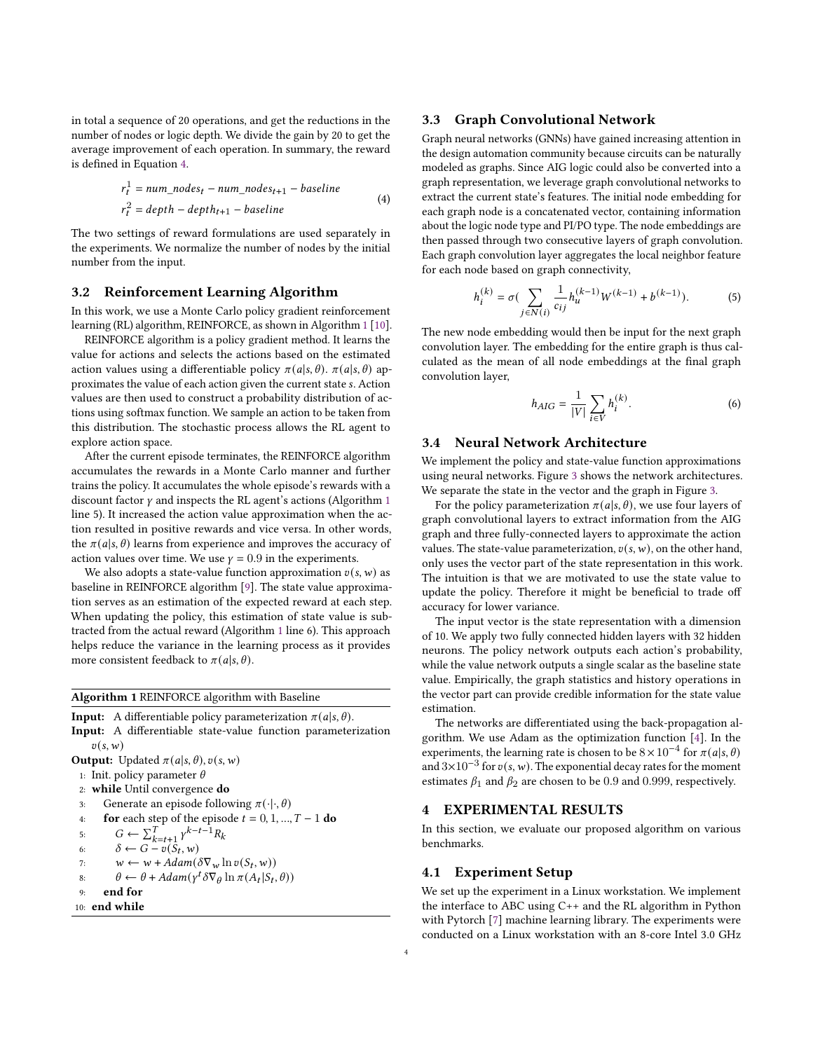in total a sequence of 20 operations, and get the reductions in the number of nodes or logic depth. We divide the gain by 20 to get the average improvement of each operation. In summary, the reward is defined in Equation [4.](#page-3-3)

<span id="page-3-3"></span>
$$
r_t^1 = num\_nodes_t - num\_nodes_{t+1} - baseline
$$
  

$$
r_t^2 = depth - depth_{t+1} - baseline
$$
 (4)

The two settings of reward formulations are used separately in the experiments. We normalize the number of nodes by the initial number from the input.

# <span id="page-3-0"></span>3.2 Reinforcement Learning Algorithm

In this work, we use a Monte Carlo policy gradient reinforcement learning (RL) algorithm, REINFORCE, as shown in Algorithm [1](#page-3-4) [\[10\]](#page-5-8).

REINFORCE algorithm is a policy gradient method. It learns the value for actions and selects the actions based on the estimated action values using a differentiable policy  $\pi(a|s, \theta)$ .  $\pi(a|s, \theta)$  approximates the value of each action given the current state s. Action values are then used to construct a probability distribution of actions using softmax function. We sample an action to be taken from this distribution. The stochastic process allows the RL agent to explore action space.

After the current episode terminates, the REINFORCE algorithm accumulates the rewards in a Monte Carlo manner and further trains the policy. It accumulates the whole episode's rewards with a discount factor  $\gamma$  and inspects the RL agent's actions (Algorithm [1](#page-3-4)) line 5). It increased the action value approximation when the action resulted in positive rewards and vice versa. In other words, the  $\pi(a|s, \theta)$  learns from experience and improves the accuracy of action values over time. We use  $\gamma = 0.9$  in the experiments.

We also adopts a state-value function approximation  $v(s, w)$  as baseline in REINFORCE algorithm [\[9\]](#page-5-9). The state value approximation serves as an estimation of the expected reward at each step. When updating the policy, this estimation of state value is subtracted from the actual reward (Algorithm [1](#page-3-4) line 6). This approach helps reduce the variance in the learning process as it provides more consistent feedback to  $\pi(a|s, \theta)$ .

<span id="page-3-4"></span>Algorithm 1 REINFORCE algorithm with Baseline

**Input:** A differentiable policy parameterization  $\pi(a|s, \theta)$ . Input: A differentiable state-value function parameterization  $v(s,w)$ **Output:** Updated  $\pi(a|s, \theta)$ ,  $v(s, w)$ 1: Init. policy parameter  $\theta$ 

2: while Until convergence do

3: Generate an episode following  $\pi(\cdot|\cdot,\theta)$ 

4. **for** each step of the episode 
$$
t = 0, 1, ..., T - 1
$$
 **do**

5:  $G \leftarrow \sum_{k=t+1}^{T} \gamma^{k-t-1} R_k$ 

6. 
$$
\delta \leftarrow G - v(S_t, w)
$$

7: 
$$
w \leftarrow w + Adam(\delta \nabla_w \ln v(S_t, w))
$$

8. 
$$
\theta \leftarrow \theta + Adam(\gamma^t \delta \nabla_{\theta} \ln \pi (A_t | S_t, \theta))
$$

9: end for

$$
10: \textbf{ end while}\\
$$

#### <span id="page-3-1"></span>3.3 Graph Convolutional Network

Graph neural networks (GNNs) have gained increasing attention in the design automation community because circuits can be naturally modeled as graphs. Since AIG logic could also be converted into a graph representation, we leverage graph convolutional networks to extract the current state's features. The initial node embedding for each graph node is a concatenated vector, containing information about the logic node type and PI/PO type. The node embeddings are then passed through two consecutive layers of graph convolution. Each graph convolution layer aggregates the local neighbor feature for each node based on graph connectivity,

$$
h_i^{(k)} = \sigma(\sum_{j \in N(i)} \frac{1}{c_{ij}} h_u^{(k-1)} W^{(k-1)} + b^{(k-1)}).
$$
 (5)

The new node embedding would then be input for the next graph convolution layer. The embedding for the entire graph is thus calculated as the mean of all node embeddings at the final graph convolution layer,

$$
h_{AIG} = \frac{1}{|V|} \sum_{i \in V} h_i^{(k)}.
$$
 (6)

#### <span id="page-3-2"></span>3.4 Neural Network Architecture

We implement the policy and state-value function approximations using neural networks. Figure [3](#page-4-0) shows the network architectures. We separate the state in the vector and the graph in Figure [3.](#page-4-0)

For the policy parameterization  $\pi(a|s, \theta)$ , we use four layers of graph convolutional layers to extract information from the AIG graph and three fully-connected layers to approximate the action values. The state-value parameterization,  $v(s, w)$ , on the other hand, only uses the vector part of the state representation in this work. The intuition is that we are motivated to use the state value to update the policy. Therefore it might be beneficial to trade off accuracy for lower variance.

The input vector is the state representation with a dimension of 10. We apply two fully connected hidden layers with 32 hidden neurons. The policy network outputs each action's probability, while the value network outputs a single scalar as the baseline state value. Empirically, the graph statistics and history operations in the vector part can provide credible information for the state value estimation.

The networks are differentiated using the back-propagation algorithm. We use Adam as the optimization function [\[4\]](#page-5-10). In the experiments, the learning rate is chosen to be  $8 \times 10^{-4}$  for  $\pi(a|s, \theta)$ and  $3\times10^{-3}$  for  $v(s, w)$ . The exponential decay rates for the moment estimates  $\beta_1$  and  $\beta_2$  are chosen to be 0.9 and 0.999, respectively.

# 4 EXPERIMENTAL RESULTS

In this section, we evaluate our proposed algorithm on various benchmarks.

#### 4.1 Experiment Setup

We set up the experiment in a Linux workstation. We implement the interface to ABC using C++ and the RL algorithm in Python with Pytorch [\[7\]](#page-5-11) machine learning library. The experiments were conducted on a Linux workstation with an 8-core Intel 3.0 GHz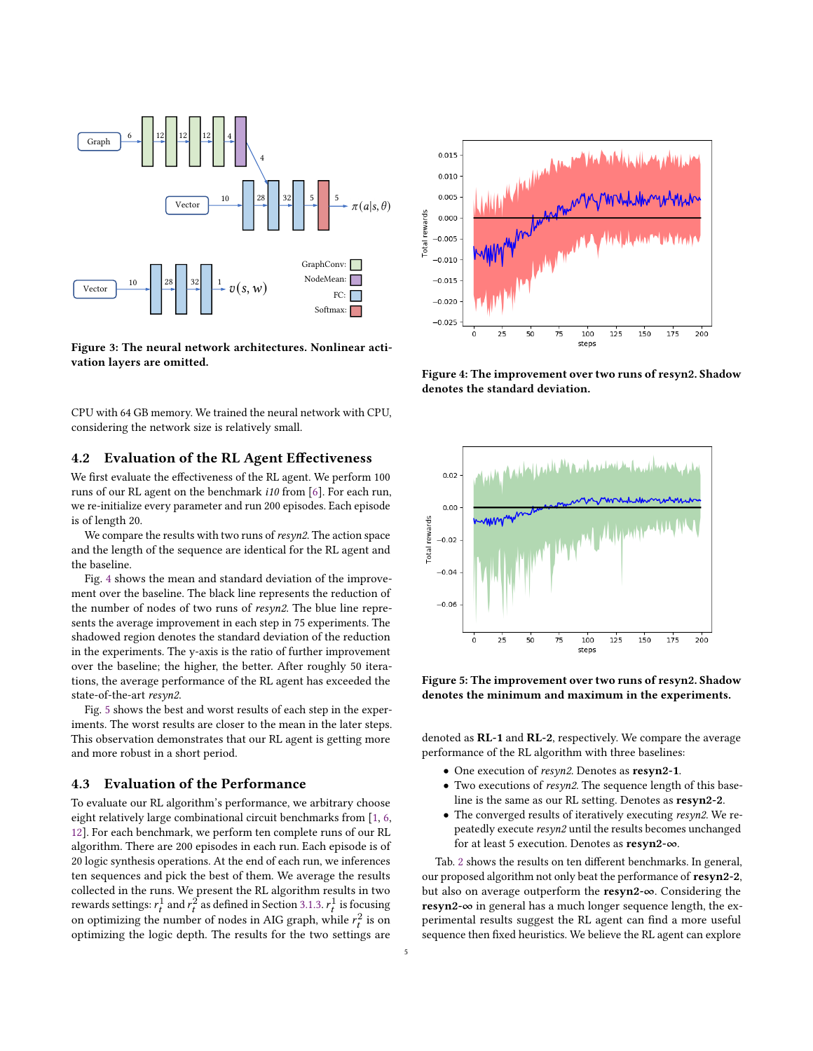<span id="page-4-0"></span>

Figure 3: The neural network architectures. Nonlinear activation layers are omitted.

CPU with 64 GB memory. We trained the neural network with CPU, considering the network size is relatively small.

#### 4.2 Evaluation of the RL Agent Effectiveness

We first evaluate the effectiveness of the RL agent. We perform 100 runs of our RL agent on the benchmark i10 from [\[6\]](#page-5-1). For each run, we re-initialize every parameter and run 200 episodes. Each episode is of length 20.

We compare the results with two runs of resyn2. The action space and the length of the sequence are identical for the RL agent and the baseline.

Fig. [4](#page-4-1) shows the mean and standard deviation of the improvement over the baseline. The black line represents the reduction of the number of nodes of two runs of resyn2. The blue line represents the average improvement in each step in 75 experiments. The shadowed region denotes the standard deviation of the reduction in the experiments. The y-axis is the ratio of further improvement over the baseline; the higher, the better. After roughly 50 iterations, the average performance of the RL agent has exceeded the state-of-the-art resyn2.

Fig. [5](#page-4-2) shows the best and worst results of each step in the experiments. The worst results are closer to the mean in the later steps. This observation demonstrates that our RL agent is getting more and more robust in a short period.

#### 4.3 Evaluation of the Performance

To evaluate our RL algorithm's performance, we arbitrary choose eight relatively large combinational circuit benchmarks from [\[1,](#page-5-12) [6,](#page-5-1) [12\]](#page-5-13). For each benchmark, we perform ten complete runs of our RL algorithm. There are 200 episodes in each run. Each episode is of 20 logic synthesis operations. At the end of each run, we inferences ten sequences and pick the best of them. We average the results collected in the runs. We present the RL algorithm results in two rewards settings:  $r_t^1$  and  $r_t^2$  as defined in Section [3.1.3.](#page-2-4)  $r_t^1$  is focusing on optimizing the number of nodes in AIG graph, while  $r_t^2$  is on optimizing the logic depth. The results for the two settings are

<span id="page-4-1"></span>

Figure 4: The improvement over two runs of resyn2. Shadow denotes the standard deviation.

<span id="page-4-2"></span>

Figure 5: The improvement over two runs of resyn2. Shadow denotes the minimum and maximum in the experiments.

denoted as RL-1 and RL-2, respectively. We compare the average performance of the RL algorithm with three baselines:

- One execution of resyn2. Denotes as resyn2-1.
- Two executions of resyn2. The sequence length of this baseline is the same as our RL setting. Denotes as resyn2-2.
- The converged results of iteratively executing resyn2. We repeatedly execute resyn2 until the results becomes unchanged for at least 5 execution. Denotes as resyn2-∞.

Tab. [2](#page-5-14) shows the results on ten different benchmarks. In general, our proposed algorithm not only beat the performance of resyn2-2, but also on average outperform the resyn2-∞. Considering the resyn2-∞ in general has a much longer sequence length, the experimental results suggest the RL agent can find a more useful sequence then fixed heuristics. We believe the RL agent can explore